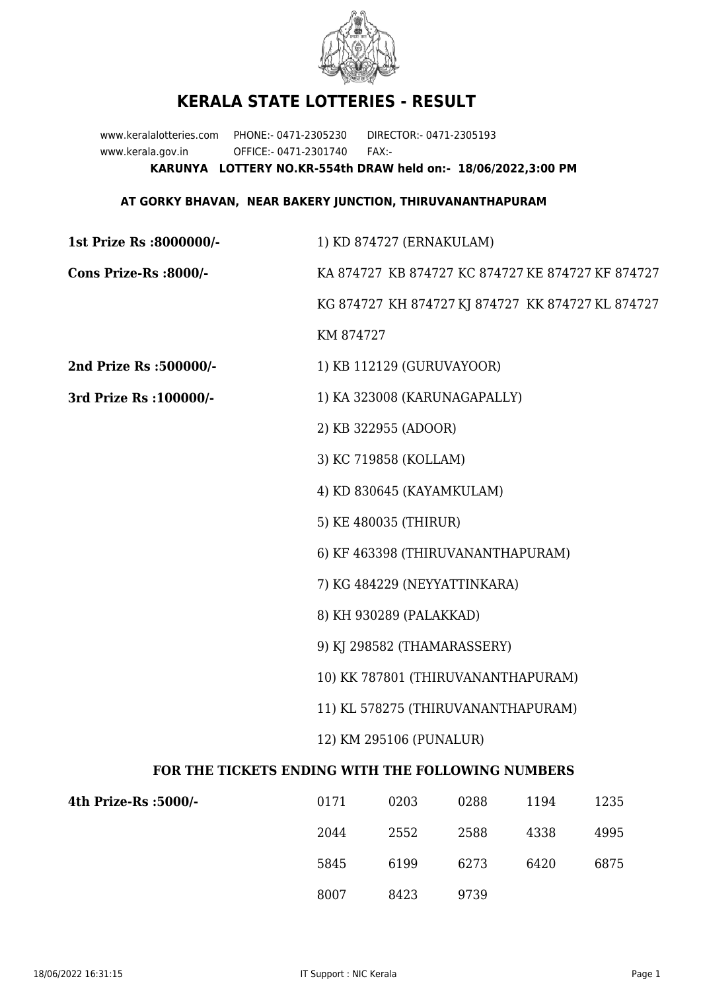

## **KERALA STATE LOTTERIES - RESULT**

www.keralalotteries.com PHONE:- 0471-2305230 DIRECTOR:- 0471-2305193 www.kerala.gov.in OFFICE:- 0471-2301740 FAX:- **KARUNYA LOTTERY NO.KR-554th DRAW held on:- 18/06/2022,3:00 PM**

## **AT GORKY BHAVAN, NEAR BAKERY JUNCTION, THIRUVANANTHAPURAM**

| 1st Prize Rs :8000000/-                           | 1) KD 874727 (ERNAKULAM)                          |                           |      |      |      |  |
|---------------------------------------------------|---------------------------------------------------|---------------------------|------|------|------|--|
| Cons Prize-Rs :8000/-                             | KA 874727 KB 874727 KC 874727 KE 874727 KF 874727 |                           |      |      |      |  |
|                                                   | KG 874727 KH 874727 KJ 874727 KK 874727 KL 874727 |                           |      |      |      |  |
|                                                   | KM 874727                                         |                           |      |      |      |  |
| 2nd Prize Rs :500000/-                            |                                                   | 1) KB 112129 (GURUVAYOOR) |      |      |      |  |
| 3rd Prize Rs : 100000/-                           | 1) KA 323008 (KARUNAGAPALLY)                      |                           |      |      |      |  |
|                                                   | 2) KB 322955 (ADOOR)                              |                           |      |      |      |  |
|                                                   | 3) KC 719858 (KOLLAM)                             |                           |      |      |      |  |
|                                                   | 4) KD 830645 (KAYAMKULAM)                         |                           |      |      |      |  |
|                                                   | 5) KE 480035 (THIRUR)                             |                           |      |      |      |  |
|                                                   | 6) KF 463398 (THIRUVANANTHAPURAM)                 |                           |      |      |      |  |
|                                                   | 7) KG 484229 (NEYYATTINKARA)                      |                           |      |      |      |  |
|                                                   | 8) KH 930289 (PALAKKAD)                           |                           |      |      |      |  |
|                                                   | 9) KJ 298582 (THAMARASSERY)                       |                           |      |      |      |  |
|                                                   | 10) KK 787801 (THIRUVANANTHAPURAM)                |                           |      |      |      |  |
|                                                   | 11) KL 578275 (THIRUVANANTHAPURAM)                |                           |      |      |      |  |
|                                                   | 12) KM 295106 (PUNALUR)                           |                           |      |      |      |  |
| FOR THE TICKETS ENDING WITH THE FOLLOWING NUMBERS |                                                   |                           |      |      |      |  |
| 4th Prize-Rs :5000/-                              | 0171                                              | 0203                      | 0288 | 1194 | 1235 |  |
|                                                   | 2044                                              | 2552                      | 2588 | 4338 | 4995 |  |
|                                                   |                                                   |                           |      |      |      |  |

8007 8423 9739

5845 6199 6273 6420 6875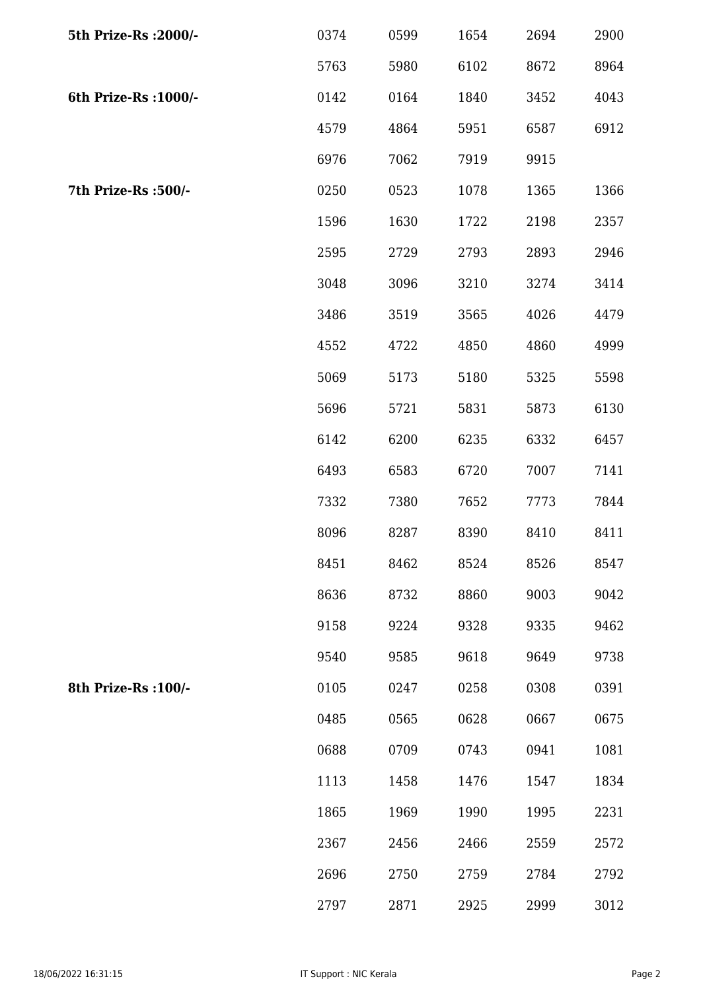| 5th Prize-Rs : 2000/- | 0374 | 0599 | 1654 | 2694 | 2900 |
|-----------------------|------|------|------|------|------|
|                       | 5763 | 5980 | 6102 | 8672 | 8964 |
| 6th Prize-Rs : 1000/- | 0142 | 0164 | 1840 | 3452 | 4043 |
|                       | 4579 | 4864 | 5951 | 6587 | 6912 |
|                       | 6976 | 7062 | 7919 | 9915 |      |
| 7th Prize-Rs : 500/-  | 0250 | 0523 | 1078 | 1365 | 1366 |
|                       | 1596 | 1630 | 1722 | 2198 | 2357 |
|                       | 2595 | 2729 | 2793 | 2893 | 2946 |
|                       | 3048 | 3096 | 3210 | 3274 | 3414 |
|                       | 3486 | 3519 | 3565 | 4026 | 4479 |
|                       | 4552 | 4722 | 4850 | 4860 | 4999 |
|                       | 5069 | 5173 | 5180 | 5325 | 5598 |
|                       | 5696 | 5721 | 5831 | 5873 | 6130 |
|                       | 6142 | 6200 | 6235 | 6332 | 6457 |
|                       | 6493 | 6583 | 6720 | 7007 | 7141 |
|                       | 7332 | 7380 | 7652 | 7773 | 7844 |
|                       | 8096 | 8287 | 8390 | 8410 | 8411 |
|                       | 8451 | 8462 | 8524 | 8526 | 8547 |
|                       | 8636 | 8732 | 8860 | 9003 | 9042 |
|                       | 9158 | 9224 | 9328 | 9335 | 9462 |
|                       | 9540 | 9585 | 9618 | 9649 | 9738 |
| 8th Prize-Rs : 100/-  | 0105 | 0247 | 0258 | 0308 | 0391 |
|                       | 0485 | 0565 | 0628 | 0667 | 0675 |
|                       | 0688 | 0709 | 0743 | 0941 | 1081 |
|                       | 1113 | 1458 | 1476 | 1547 | 1834 |
|                       | 1865 | 1969 | 1990 | 1995 | 2231 |
|                       | 2367 | 2456 | 2466 | 2559 | 2572 |
|                       | 2696 | 2750 | 2759 | 2784 | 2792 |
|                       | 2797 | 2871 | 2925 | 2999 | 3012 |